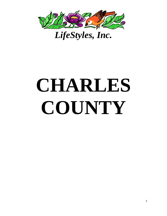

# **CHARLES COUNTY**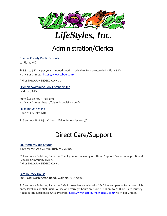



## Administration/Clerical

## [Charles County Public Schools](https://www.indeed.com/cmp/Charles-County-Public-Schools?campaignid=mobvjcmp&from=mobviewjob&tk=1fqtg5bc23kot000&fromjk=d82832bdb0037796)

La Plata, MD

\$33.3K to \$42.1K per year is Indeed's estimated salary for secretary in La Plata, MD. No Major Crimes… <https://www.ccboe.com/>

APPLY THROUGH INDEED.COM…….

Olympia Swimming Pool Company, Inc Waldorf, MD

From \$15 an hour - Full-time No Major Crimes…https://olympiapoolsinc.com//

Falco Industries Inc Charles County, MD

\$16 an hour No Major Crimes…/falconindustries.com//

## Direct Care/Support

## Southern MD Job Source

3406 Velvet Ash Ct, Waldorf, MD 20602

\$14 an hour - Full-time, Part-time Thank you for reviewing our Direct Support Professional position at ResCare Community Living. APPLY THROUGH INDEED.COM….

## Safe Journey House

3050 Old Washington Road, Waldorf, MD 20601

\$16 an hour - Full-time, Part-time Safe Journey House in Waldorf, MD has an opening for an overnight, entry-level Residential Crisis Counselor. Overnight hours are from 10:30 pm to 7:00 am. Safe Journey House is THE Residential Crisis Program.<http://www.safejourneyhouse1.com/> No Major Crimes.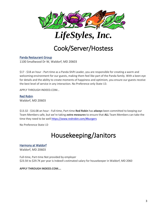



## Cook/Server/Hostess

## [Panda Restaurant Group](https://www.indeed.com/cmp/Panda-Restaurant-Group?campaignid=mobvjcmp&from=mobviewjob&tk=1ft5mp4gvm6ct803&fromjk=abe04256e920ad98)

1100 Smallwood Dr W, Waldorf, MD 20603

\$17 - \$18 an hour - Part-time as a Panda Shift Leader, you are responsible for creating a warm and welcoming environment for our guests, making them feel like part of the Panda family. With a keen eye for details and the ability to create moments of happiness and optimism, you ensure our guests receive the best level of service in any interaction. No Preference only State I.D.

APPLY THROUGH INDEED.COM…

### [Red Robin](https://www.indeed.com/cmp/Red-Robin?campaignid=mobvjcmp&from=mobviewjob&tk=1ftnrmhkn2sl1000&fromjk=c12d5891c514f419)

Waldorf, MD 20603

\$13.32 - \$16.08 an hour - Full-time, Part-time **Red Robin** has *always* been committed to keeping our Team Members safe, but we're taking *extra measures* to ensure that **ALL** Team Members can take the time they need to be well<https://www.redrobin.com/#burgers>

No Preference State I.D

## Housekeeping/Janitors

## Harmony at Waldorf

Waldorf, MD 20603

Full-time, Part-time Not provided by employer \$23.5K to \$29.7K per year is Indeed's estimated salary for housekeeper in Waldorf, MD 2060

**APPLY THROUGH INDEED.COM….**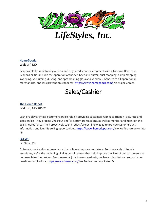

*LifeStyles, Inc.*

## **HomeGoods** Waldorf, MD

Responsible for maintaining a clean and organized store environment with a focus on floor care. Responsibilities include the operation of the scrubber and buffer, dust mopping, damp mopping, sweeping, vacuuming, dusting, and spot cleaning glass and windows. Adheres to all operational, merchandise, and loss prevention standards. <https://www.homegoods.com/> No Major Crimes

## Sales/Cashier

## [The Home Depot](https://www.indeed.com/cmp/The-Home-Depot?campaignid=mobvjcmp&from=mobviewjob&tk=1fsmd4ulvs7dc800&fromjk=a8696370074e89ef)

Waldorf, MD 20602

Cashiers play a critical customer service role by providing customers with fast, friendly, accurate and safe service. They process Checkout and/or Return transactions, as well as monitor and maintain the Self-Checkout area. They proactively seek product/project knowledge to provide customers with information and identify selling opportunities. <https://www.homedepot.com/> No Preference only state I.D

#### LOEWS

#### La Plata, MD

At Lowe's, we've always been more than a home improvement store. For thousands of Lowe's associates, we're the beginning of all types of careers that help improve the lives of our customers and our associates themselves. From seasonal jobs to seasoned vets, we have roles that can support your needs and aspirations.<https://www.lowes.com/> No Preference only State I.D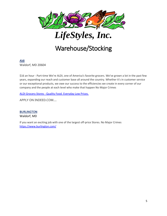

## Warehouse/Stocking

[Aldi](https://www.indeed.com/cmp/Aldi?campaignid=mobvjcmp&from=mobviewjob&tk=1fu9l7e5ls9sg800&fromjk=931d12cda8ba4ff9) 

Waldorf, MD 20604

\$16 an hour - Part-time We're ALDI, one of America's favorite grocers. We've grown a lot in the past few years, expanding our reach and customer base all around the country. Whether it's in customer service or our exceptional products, we owe our success to the efficiencies we create in every corner of our company and the people at each level who make that happen No Major Crimes

ALDI Grocery Stores - [Quality Food. Everyday Low Prices.](https://www.aldi.us/)

APPLY ON INDEED.COM….

## **BURLINGTON**

Waldorf, MD

If you want an exciting job with one of the largest off-price Stores. No Major Crimes <https://www.burlington.com/>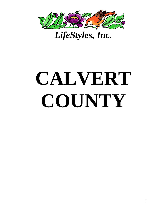

# **CALVERT COUNTY**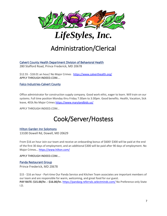

## Administration/Clerical

Calvert County Health Department Division of Behavioral Health

280 Stafford Road, Prince Frederick, MD 20678

\$12.55 - \$18.01 an hour/ No Major Crimes <https://www.calverthealth.org/> APPLY THROUGH INDEED.COM….

Falco Industries-Calvert County

Office administrator for construction supply company. Good work ethic, eager to learn. Will train on our systems. Full time position Monday thru Friday 7:30am to 3:30pm. Good benefits. Health, Vacation, Sick leave, 401k.No Major Crime[s https://www.marylandbids.us/](https://www.marylandbids.us/)

APPLY THROUGH INDEED.COM…

## Cook/Server/Hostess

## [Hilton Garden Inn Solomons](https://www.indeed.com/cmp/Hilton-Garden-Inn-Hotel?campaignid=mobvjcmp&from=mobviewjob&tk=1fps37peut4ko800&fromjk=647502719be2e47d)

13100 Dowell Rd, Dowell, MD 20629

From \$16 an hour Join our team and receive an onboarding bonus of \$600! \$300 will be paid at the end of the first 30 days of employment, and an additional \$300 will be paid after 90 days of employment. No Major Crimes… <https://www.hilton.com/>

APPLY THROUGH INDEED.COM….

#### [Panda Restaurant Group](https://www.indeed.com/cmp/Panda-Restaurant-Group?campaignid=mobvjcmp&from=mobviewjob&tk=1frg02amsu4ak800&fromjk=e9b7427fc6ec455f)

Prince Frederick, MD 20678

\$15 - \$16 an hour - Part-time Our Panda Service and Kitchen Team associates are important members of our team and are responsible for warm, welcoming, and great food for our guest. **PAY RATE: \$15.00/hr. - \$16.00/hr.** <https://pandarg.referrals.selectminds.com/> No Preference only State I.D.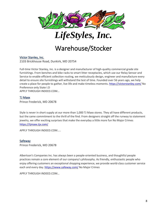



## Warehouse/Stocker

### Victor Stanley, Inc.

2103 Brickhouse Road, Dunkirk, MD 20754

Full-time Victor Stanley, Inc. is a designer and manufacturer of high-quality commercial grade site furnishings. From benches and bike racks to smart litter receptacles, which use our Relay Sensor and Service to enable efficient collection routing, we meticulously design, engineer and manufacture every detail to ensure site furnishings will withstand the test of time. Founded over 56 years ago, we help create a place for people to gather, live life and make timeless moments.<https://victorstanley.com/> No Preference only State I.D

APPLY THROUGH INDEED.COM…

#### [TJ Maxx](https://www.indeed.com/cmp/Tj-Maxx-b309bf65?campaignid=mobvjcmp&from=mobviewjob&tk=1fu9lpfip3kj4000&fromjk=8c46f4f45d50d278)

Prince Frederick, MD 20678

Style is never in short supply at our more than 1,000 TJ Maxx stores. They all have different products, but the same commitment to the thrill of the find. From designers straight off the runway to statement jewelry, we offer exciting surprises that make the everyday a little more fun No Major Crimes <https://tjmaxx.tjx.com/>

APPLY THROUGH INDEED.COM…..

#### [Safeway](https://www.indeed.com/cmp/Safeway?campaignid=mobvjcmp&from=mobviewjob&tk=1ftnuqvekn5ba802&fromjk=86d915867e241ec3)

Prince Frederick, MD 20678

Albertson's Companies Inc. has always been a people-oriented business, and thoughtful people practices remain a core element of our company's philosophy. As friendly, enthusiastic people who enjoy offering customers an exceptional shopping experience, we provide world-class customer service each and every day[. https://www.safeway.com/](https://www.safeway.com/) No Major Crimes

APPLY THROUGH INDEED.COM…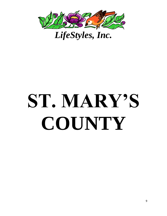

# **ST. MARY'S COUNTY**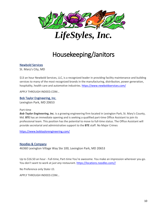

## Housekeeping/Janitors

## [Newbold Services](https://www.indeed.com/cmp/Newbold-Services,-LLC?campaignid=mobvjcmp&from=mobviewjob&tk=1fs1uo4l9ocb3800&fromjk=ede15c425ff11c4b)

St. Mary's City, MD

\$13 an hour Newbold Services, LLC, is a recognized leader in providing facility maintenance and building services to many of the most recognized brands in the manufacturing, distribution, power generation, hospitality, health care and automotive industries. <https://www.newboldservices.com/>

APPLY THROUGH INDEED.COM…

#### Bob Taylor Engineering, Inc.

Lexington Park, MD 20653

#### Part-time

*Bob Taylor Engineering, Inc.* is a growing engineering firm located in Lexington Park, St. Mary's County, Md. **BTE** has an immediate opening and is seeking a qualified part-time Office Assistant to join its professional team. This position has the potential to move to full-time status. The Office Assistant will provide secretarial and administrative support to the **BTE** staff. No Major Crimes

<https://www.bobtaylorengineering.com/>

#### [Noodles & Company](https://www.indeed.com/cmp/Noodles-&-Company?campaignid=mobvjcmp&from=mobviewjob&tk=1fpnf3krrt4j1800&fromjk=ef233060ae40cd37)

46360 Lexington Village Way Ste 100, Lexington Park, MD 20653

Up to \$16.50 an hour - Full-time, Part-time You're awesome. You make an impression wherever you go. You don't want to work at *just any* restaurant. https://locations.noodles.com//

No Preference only State I.D.

APPLY THROUGH INDEED.COM…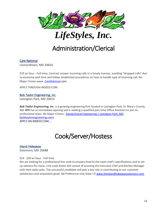

## Administration/Clerical

## [Care National](https://www.indeed.com/cmp/Carenational?campaignid=mobvjcmp&from=mobviewjob&tk=1fu9pppolm6gk800&fromjk=799a6713e99f0cb0)

Leonardtown, MD 20650

\$19 an hour - Full-time, Contract answer incoming calls in a timely manner, avoiding "dropped calls" due to excessive wait time and follow established procedures on how to handle type of incoming call. No Major Crimes www. [CareNational.](https://carenational.com/)com

APPLY THROUGH INDEED.COM.

### Bob Taylor Engineering, Inc.

Lexington Park, MD 20653

*Bob Taylor Engineering, Inc.* is a growing engineering firm located in Lexington Park, St. Mary's County, Md. **BTE** has an immediate opening and is seeking a qualified part-time Office Assistant to join its professional team. No Major Crimes.. [Geotechnical Engineering | Lexington Park, MD](https://www.bobtaylorengineering.com/)  [\(bobtaylorengineering.com\)](https://www.bobtaylorengineering.com/) APPLY ON INDEED.COM….

## Cook/Server/Hostess

Island Hideaway Solomons, MD 20688

#### \$14 - \$20 an hour - Full-time

We are looking for a professional line cook to prepare food to the exact chef's specifications and to set up stations for menu. Line cook duties will consist of assisting the Executive Chef and Kitchen Manager with their daily tasks. The successful candidate will play a key role in contributing to our customer satisfaction and acquisition goals. No Preference only State I.D [www.theislandhideawaysolomons.com](http://www.theislandhideawaysolomons.com/)